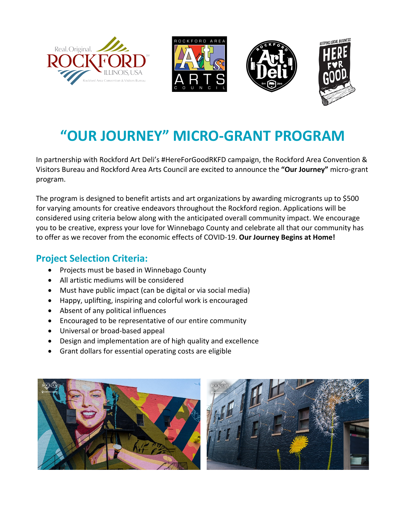







## **"OUR JOURNEY" MICRO-GRANT PROGRAM**

In partnership with Rockford Art Deli's #HereForGoodRKFD campaign, the Rockford Area Convention & Visitors Bureau and Rockford Area Arts Council are excited to announce the **"Our Journey"** micro-grant program.

The program is designed to benefit artists and art organizations by awarding microgrants up to \$500 for varying amounts for creative endeavors throughout the Rockford region. Applications will be considered using criteria below along with the anticipated overall community impact. We encourage you to be creative, express your love for Winnebago County and celebrate all that our community has to offer as we recover from the economic effects of COVID-19. **Our Journey Begins at Home!**

## **Project Selection Criteria:**

- Projects must be based in Winnebago County
- All artistic mediums will be considered
- Must have public impact (can be digital or via social media)
- Happy, uplifting, inspiring and colorful work is encouraged
- Absent of any political influences
- Encouraged to be representative of our entire community
- Universal or broad-based appeal
- Design and implementation are of high quality and excellence
- Grant dollars for essential operating costs are eligible